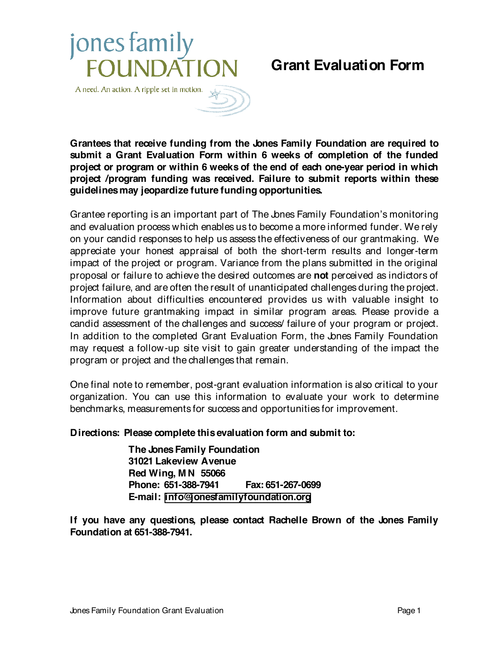## jones family **FOUNDATION**

## **Grant Evaluation Form**



**Grantees that receive funding from the Jones Family Foundation are required to submit a Grant Evaluation Form within 6 weeks of completion of the funded project or program or within 6 weeks of the end of each one-year period in which project /program funding was received. Failure to submit reports within these guidelines may jeopardize future funding opportunities.**

Grantee reporting is an important part of The Jones Family Foundation's monitoring and evaluation process which enables us to become a more informed funder. We rely on your candid responses to help us assess the effectiveness of our grantmaking. We appreciate your honest appraisal of both the short-term results and longer-term impact of the project or program. Variance from the plans submitted in the original proposal or failure to achieve the desired outcomes are **not** perceived as indictors of project failure, and are often the result of unanticipated challenges during the project. Information about difficulties encountered provides us with valuable insight to improve future grantmaking impact in similar program areas. Please provide a candid assessment of the challenges and success/ failure of your program or project. In addition to the completed Grant Evaluation Form, the Jones Family Foundation may request a follow-up site visit to gain greater understanding of the impact the program or project and the challenges that remain.

One final note to remember, post-grant evaluation information is also critical to your organization. You can use this information to evaluate your work to determine benchmarks, measurements for success and opportunities for improvement.

## **Directions: Please complete this evaluation form and submit to:**

**The Jones Family Foundation 31021 Lakeview Avenue Red Wing, M N 55066 Phone: 651-388-7941 Fax: 651-267-0699 E-mail: [info@jonesfamilyfoundation.org](mailto:info@jonesfamilyfoundation.org)**

**If you have any questions, please contact Rachelle Brown of the Jones Family Foundation at 651-388-7941.**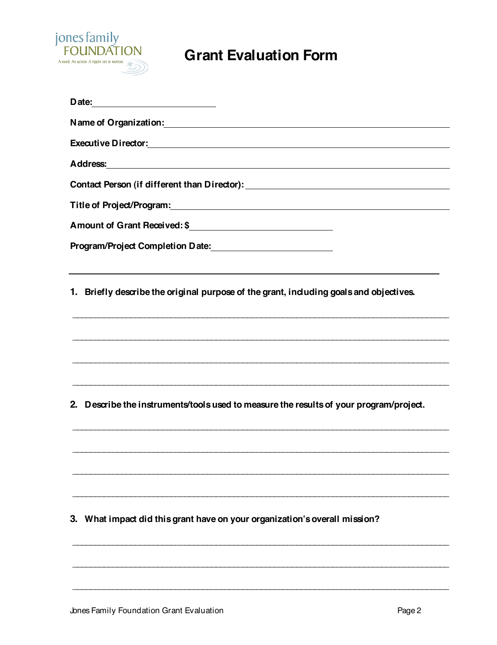

## **Grant Evaluation Form**

| Name of Organization: Name of Organization of the Community of the Contract of the Contract of the Contract of the Contract of the Contract of the Contract of the Contract of the Contract of the Contract of the Contract of<br>Address: Andress: Address: Address: Address: Address: Address: Address: Address: Address: Address: Address: Address: Address: Address: Address: Address: Address: Address: Address: Address: Address: Address: Address: Addres<br>Contact Person (if different than Director): \\espaces\\\espaces\\\espaces\\\espaces\\\espaces\\\espaces\\espaces\\espaces\\espaces\\espaces\\espaces\\espaces\\espaces\\espaces\\espaces\\espaces\\espaces\\espaces\\espaces\ |  |  |                                                                                        |
|----------------------------------------------------------------------------------------------------------------------------------------------------------------------------------------------------------------------------------------------------------------------------------------------------------------------------------------------------------------------------------------------------------------------------------------------------------------------------------------------------------------------------------------------------------------------------------------------------------------------------------------------------------------------------------------------------|--|--|----------------------------------------------------------------------------------------|
|                                                                                                                                                                                                                                                                                                                                                                                                                                                                                                                                                                                                                                                                                                    |  |  |                                                                                        |
|                                                                                                                                                                                                                                                                                                                                                                                                                                                                                                                                                                                                                                                                                                    |  |  | 1. Briefly describe the original purpose of the grant, induding goals and objectives.  |
|                                                                                                                                                                                                                                                                                                                                                                                                                                                                                                                                                                                                                                                                                                    |  |  |                                                                                        |
|                                                                                                                                                                                                                                                                                                                                                                                                                                                                                                                                                                                                                                                                                                    |  |  | 2. Describe the instruments/tools used to measure the results of your program/project. |
|                                                                                                                                                                                                                                                                                                                                                                                                                                                                                                                                                                                                                                                                                                    |  |  |                                                                                        |
|                                                                                                                                                                                                                                                                                                                                                                                                                                                                                                                                                                                                                                                                                                    |  |  | 3. What impact did this grant have on your organization's overall mission?             |
|                                                                                                                                                                                                                                                                                                                                                                                                                                                                                                                                                                                                                                                                                                    |  |  |                                                                                        |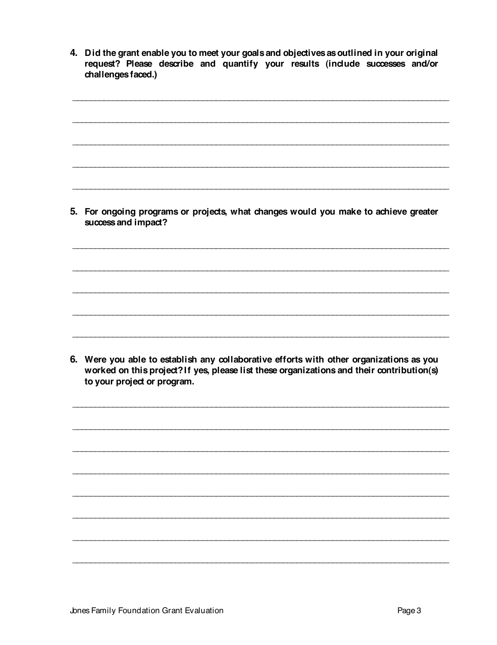4. Did the grant enable you to meet your goals and objectives as outlined in your original request? Please describe and quantify your results (include successes and/or challenges faced.)

5. For ongoing programs or projects, what changes would you make to achieve greater success and impact?

6. Were you able to establish any collaborative efforts with other organizations as you worked on this project? If yes, please list these organizations and their contribution(s) to your project or program.